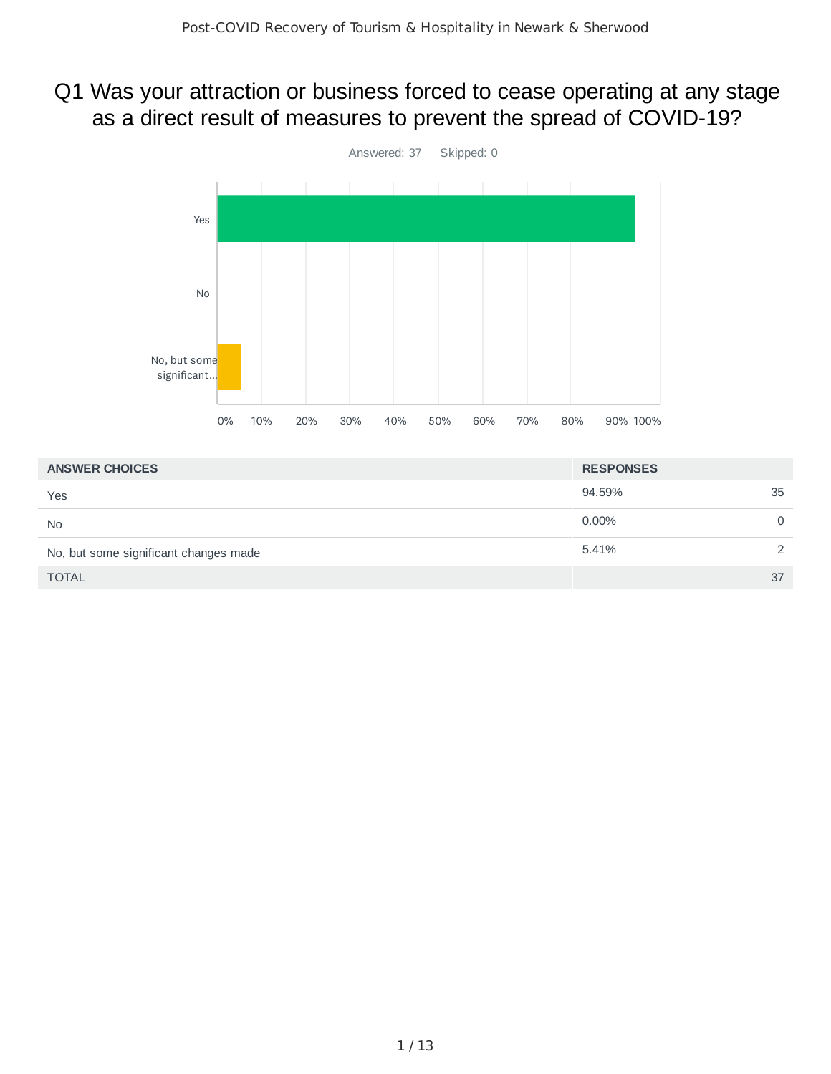#### Q1 Was your attraction or business forced to cease operating at any stage as a direct result of measures to prevent the spread of COVID-19?



| <b>ANSWER CHOICES</b>                 | <b>RESPONSES</b> |               |
|---------------------------------------|------------------|---------------|
| Yes                                   | 94.59%           | 35            |
| <b>No</b>                             | $0.00\%$         | 0             |
| No, but some significant changes made | 5.41%            | $\mathcal{P}$ |
| <b>TOTAL</b>                          |                  | 37            |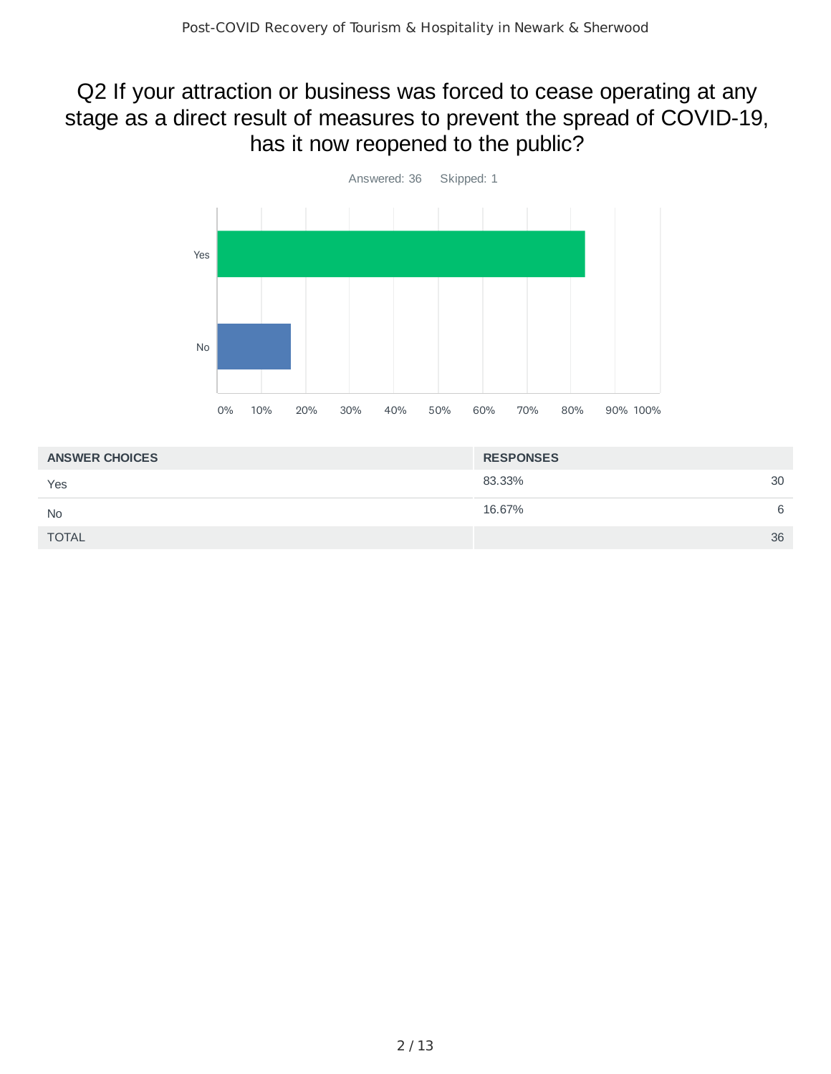## Q2 If your attraction or business was forced to cease operating at any stage as a direct result of measures to prevent the spread of COVID-19, has it now reopened to the public?



| <b>ANSWER CHOICES</b> | <b>RESPONSES</b> |    |
|-----------------------|------------------|----|
| Yes                   | 83.33%           | 30 |
| <b>No</b>             | 16.67%           | 6  |
| <b>TOTAL</b>          |                  | 36 |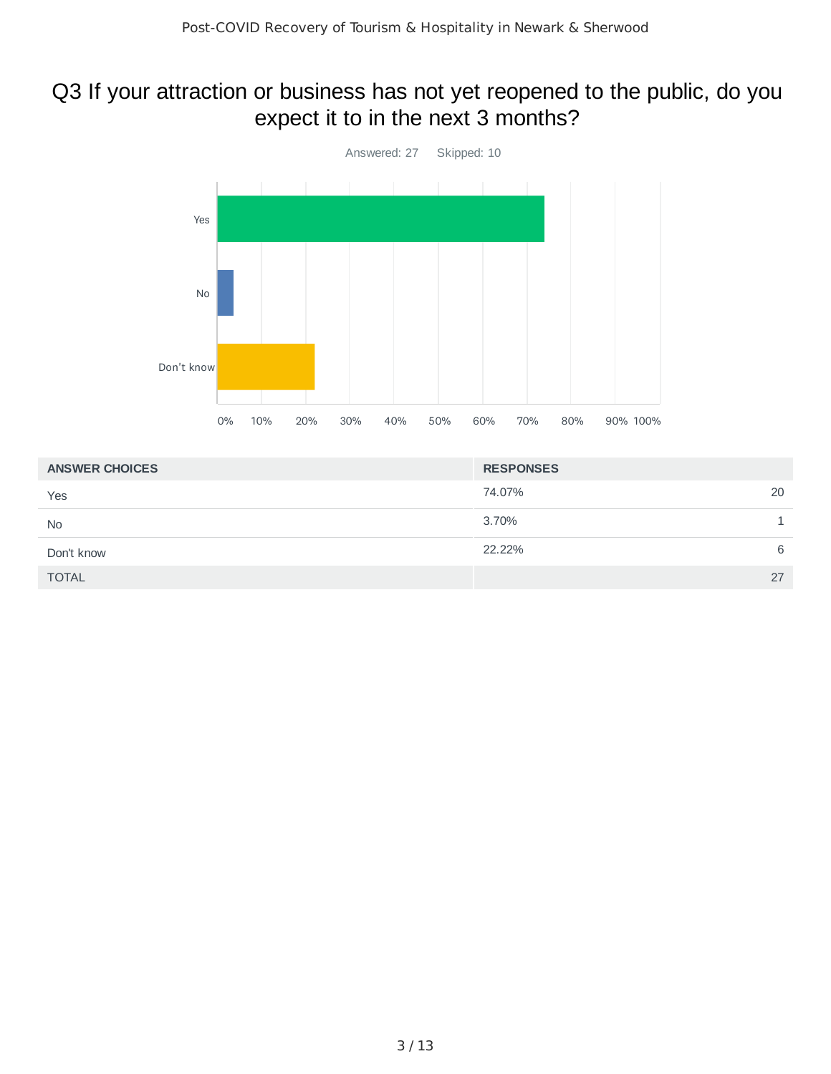#### Q3 If your attraction or business has not yet reopened to the public, do you expect it to in the next 3 months?



| <b>ANSWER CHOICES</b> | <b>RESPONSES</b> |
|-----------------------|------------------|
| Yes                   | 20<br>74.07%     |
| <b>No</b>             | 3.70%            |
| Don't know            | 22.22%<br>6      |
| <b>TOTAL</b>          | 27               |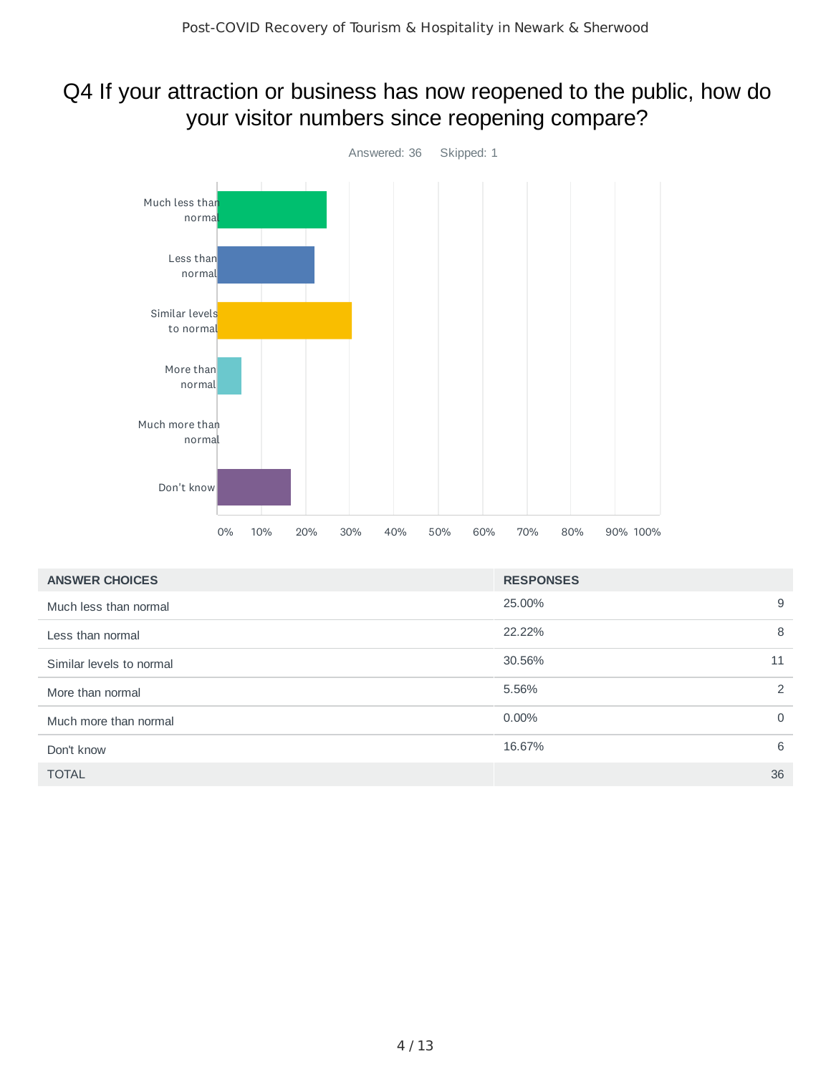# Q4 If your attraction or business has now reopened to the public, how do your visitor numbers since reopening compare?



| <b>ANSWER CHOICES</b>    | <b>RESPONSES</b> |          |
|--------------------------|------------------|----------|
| Much less than normal    | 25.00%           | 9        |
| Less than normal         | 22.22%           | 8        |
| Similar levels to normal | 30.56%           | 11       |
| More than normal         | 5.56%            | 2        |
| Much more than normal    | $0.00\%$         | $\Omega$ |
| Don't know               | 16.67%           | 6        |
| <b>TOTAL</b>             |                  | 36       |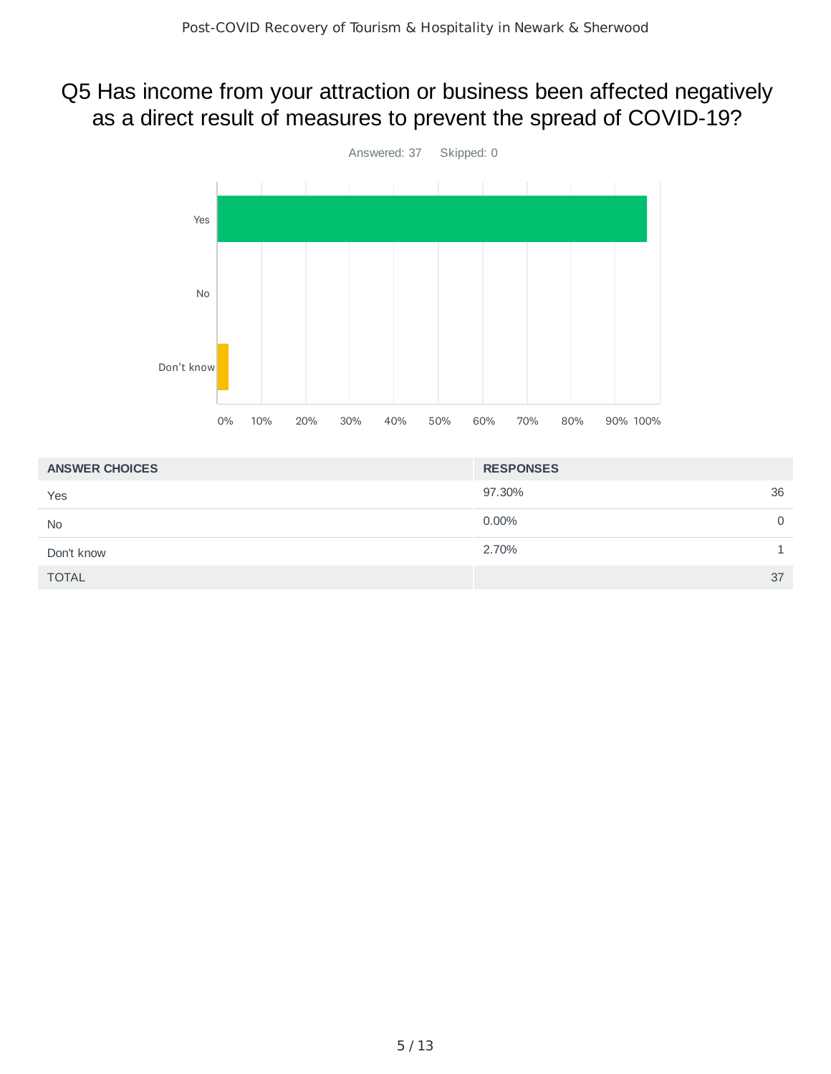#### Q5 Has income from your attraction or business been affected negatively as a direct result of measures to prevent the spread of COVID-19?



| <b>ANSWER CHOICES</b> | <b>RESPONSES</b> |
|-----------------------|------------------|
| Yes                   | 36<br>97.30%     |
| <b>No</b>             | $0.00\%$<br>0    |
| Don't know            | 2.70%            |
| <b>TOTAL</b>          | 37               |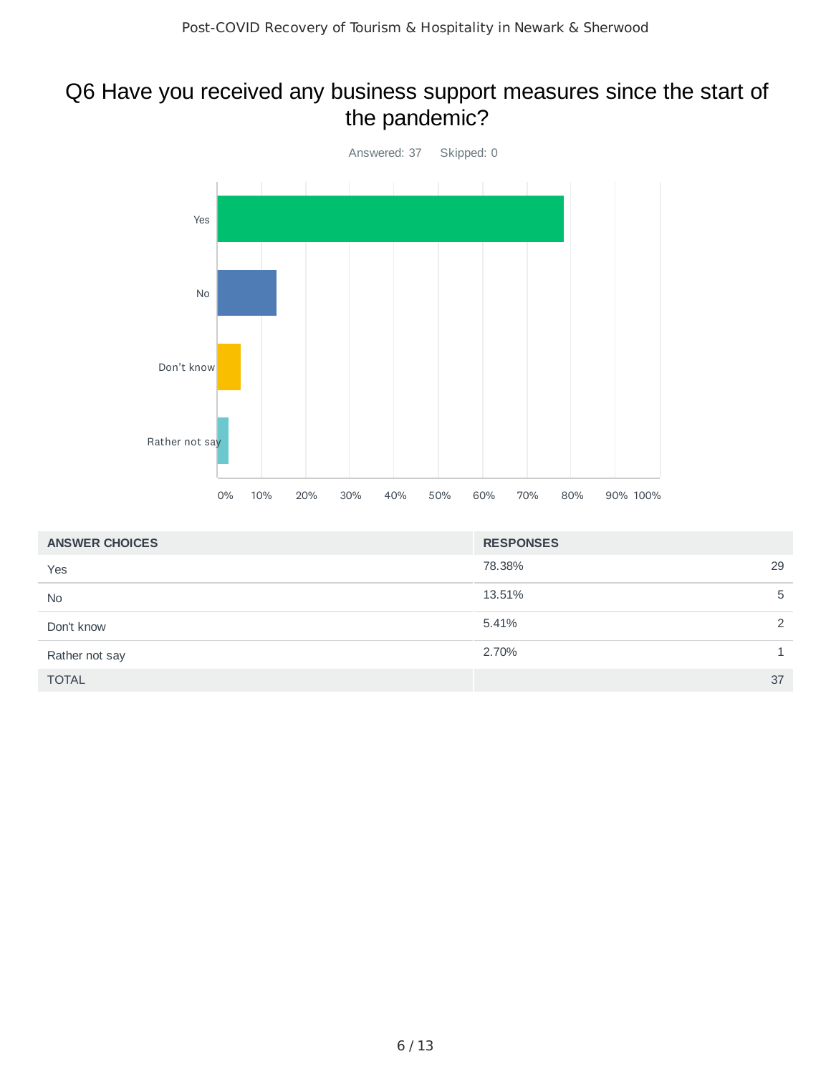## Q6 Have you received any business support measures since the start of the pandemic?



| <b>ANSWER CHOICES</b> | <b>RESPONSES</b> |    |
|-----------------------|------------------|----|
| Yes                   | 78.38%           | 29 |
| <b>No</b>             | 13.51%           | 5  |
| Don't know            | 5.41%            | 2  |
| Rather not say        | 2.70%            |    |
| <b>TOTAL</b>          |                  | 37 |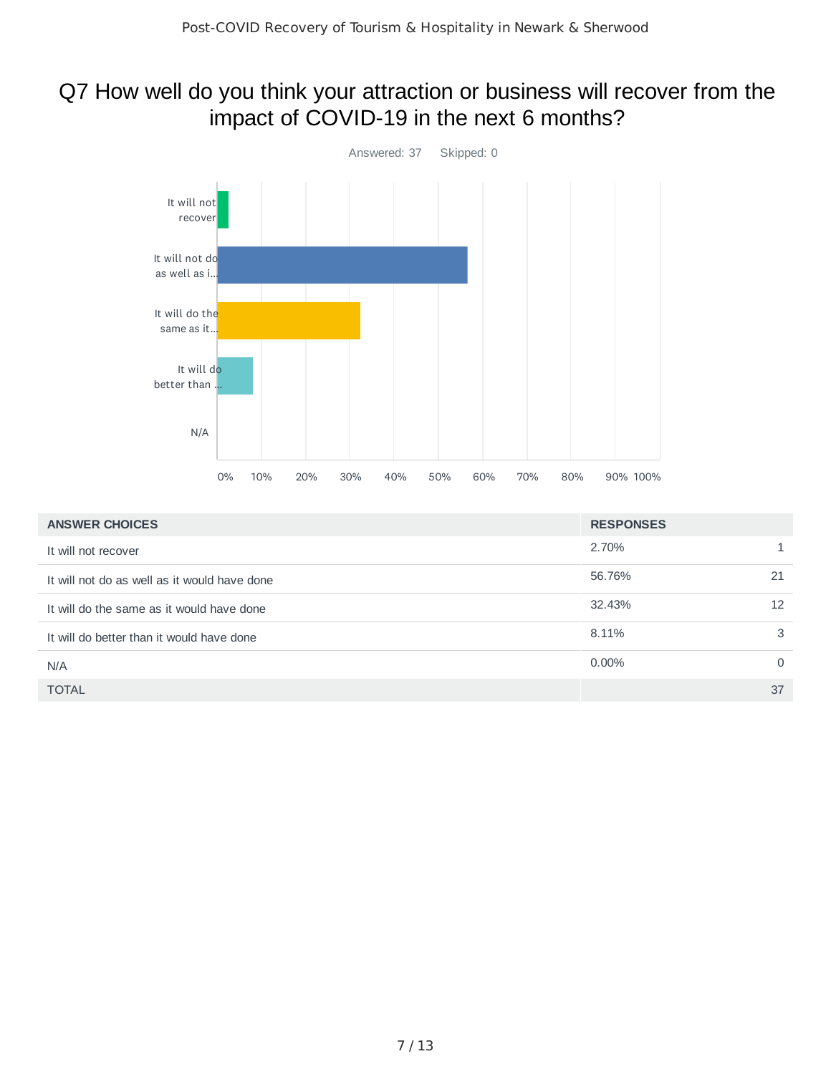#### Q7 How well do you think your attraction or business will recover from the impact of COVID-19 in the next 6 months?



| <b>ANSWER CHOICES</b>                        | <b>RESPONSES</b> |          |
|----------------------------------------------|------------------|----------|
| It will not recover                          | 2.70%            | 1.       |
| It will not do as well as it would have done | 56.76%           | 21       |
| It will do the same as it would have done    | 32.43%           | 12       |
| It will do better than it would have done    | 8.11%            | 3        |
| N/A                                          | $0.00\%$         | $\Omega$ |
| <b>TOTAL</b>                                 |                  | 37       |
|                                              |                  |          |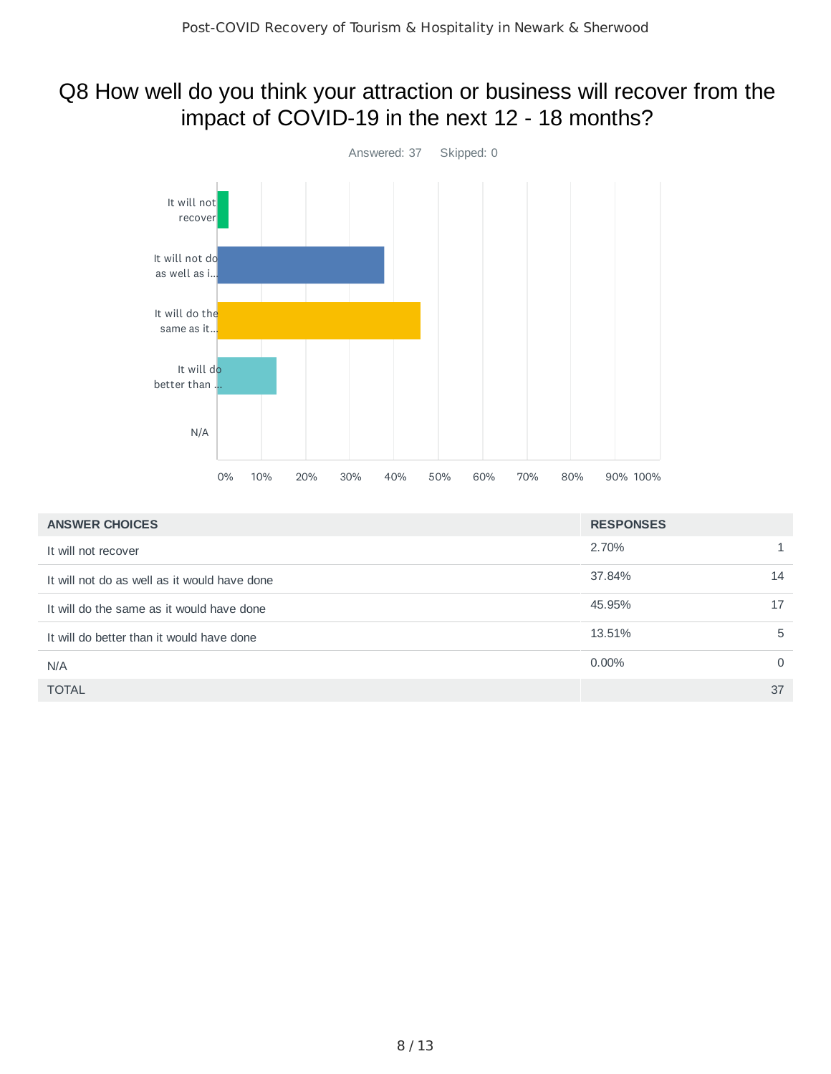#### Q8 How well do you think your attraction or business will recover from the impact of COVID-19 in the next 12 - 18 months?



| <b>ANSWER CHOICES</b>                        | <b>RESPONSES</b> |          |
|----------------------------------------------|------------------|----------|
| It will not recover                          | 2.70%            |          |
| It will not do as well as it would have done | 37.84%           | 14       |
| It will do the same as it would have done    | 45.95%           | 17       |
| It will do better than it would have done    | 13.51%           | 5        |
| N/A                                          | $0.00\%$         | $\Omega$ |
| <b>TOTAL</b>                                 |                  | 37       |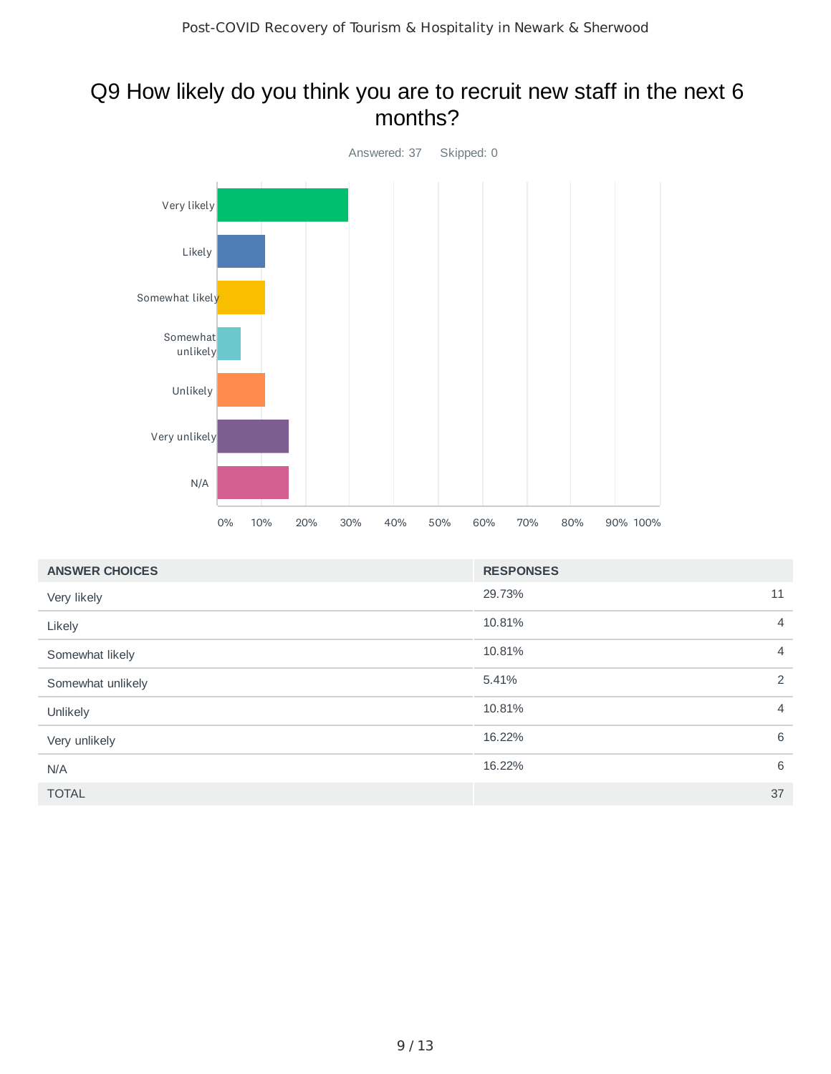#### Q9 How likely do you think you are to recruit new staff in the next 6 months?



| <b>ANSWER CHOICES</b> | <b>RESPONSES</b> |                |
|-----------------------|------------------|----------------|
| Very likely           | 29.73%           | 11             |
| Likely                | 10.81%           | $\overline{4}$ |
| Somewhat likely       | 10.81%           | $\overline{4}$ |
| Somewhat unlikely     | 5.41%            | $\overline{2}$ |
| Unlikely              | 10.81%           | $\overline{4}$ |
| Very unlikely         | 16.22%           | 6              |
| N/A                   | 16.22%           | 6              |
| <b>TOTAL</b>          |                  | 37             |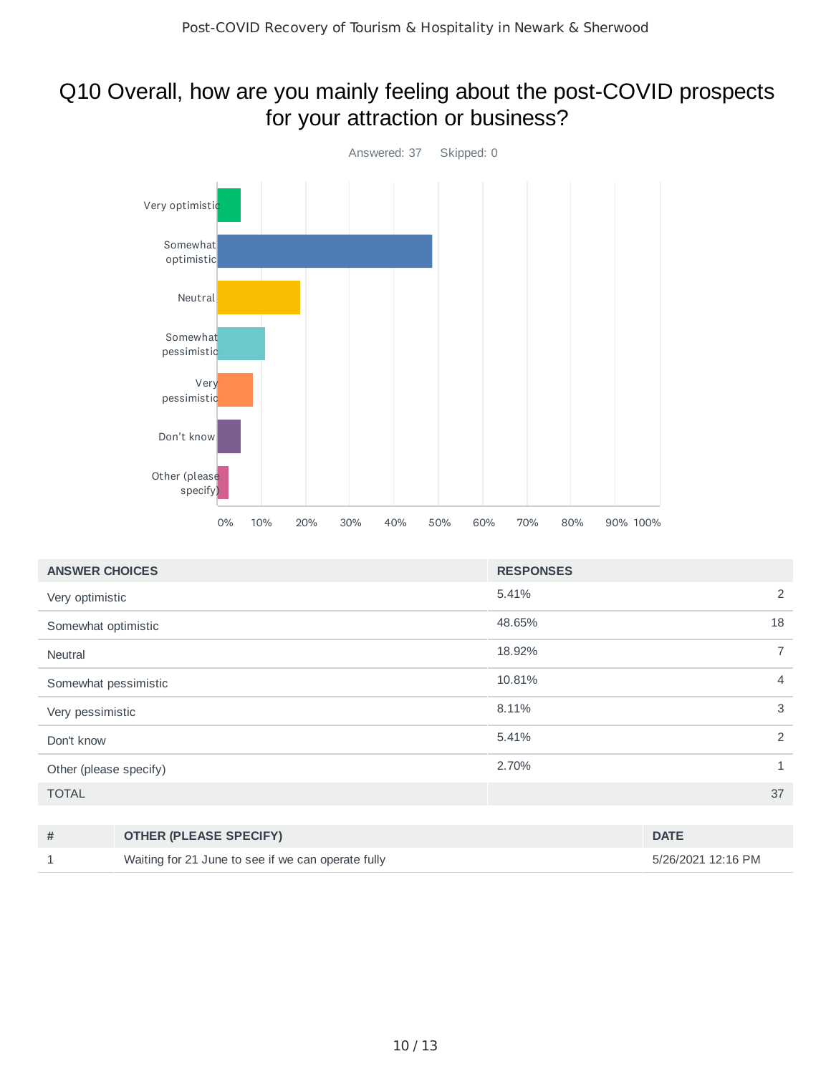#### Q10 Overall, how are you mainly feeling about the post-COVID prospects for your attraction or business?



| <b>ANSWER CHOICES</b>  | <b>RESPONSES</b>         |                |
|------------------------|--------------------------|----------------|
| Very optimistic        | 2<br>5.41%               |                |
| Somewhat optimistic    | 18<br>48.65%             |                |
| <b>Neutral</b>         | 18.92%                   | $\overline{7}$ |
| Somewhat pessimistic   | 10.81%<br>$\overline{4}$ |                |
| Very pessimistic       | 3<br>8.11%               |                |
| Don't know             | 2<br>5.41%               |                |
| Other (please specify) | 2.70%<br>$\mathbf{1}$    |                |
| <b>TOTAL</b>           | 37                       |                |

| <b>OTHER (PLEASE SPECIFY)</b>                      | <b>DATE</b>        |
|----------------------------------------------------|--------------------|
| Waiting for 21 June to see if we can operate fully | 5/26/2021 12:16 PM |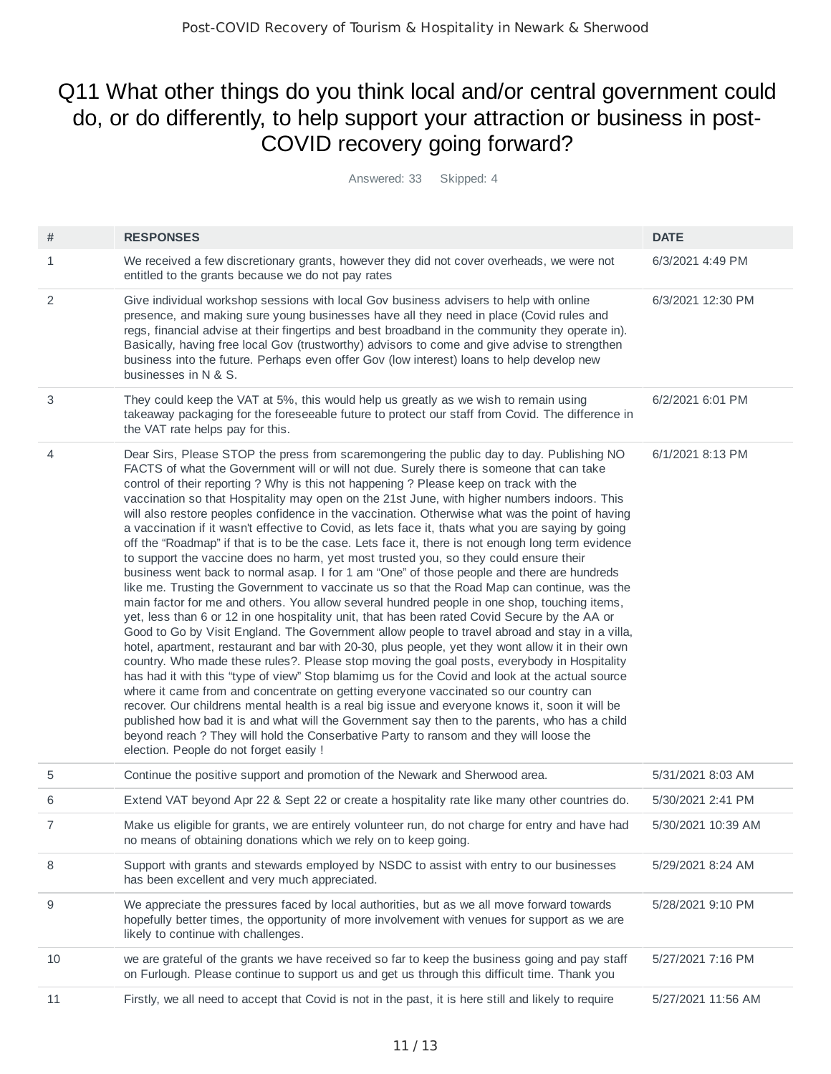## Q11 What other things do you think local and/or central government could do, or do differently, to help support your attraction or business in post-COVID recovery going forward?

Answered: 33 Skipped: 4

| #  | <b>RESPONSES</b>                                                                                                                                                                                                                                                                                                                                                                                                                                                                                                                                                                                                                                                                                                                                                                                                                                                                                                                                                                                                                                                                                                                                                                                                                                                                                                                                                                                                                                                                                                                                                                                                                                                                                                                                                                                                                                                                                                                                                                                                               | <b>DATE</b>        |
|----|--------------------------------------------------------------------------------------------------------------------------------------------------------------------------------------------------------------------------------------------------------------------------------------------------------------------------------------------------------------------------------------------------------------------------------------------------------------------------------------------------------------------------------------------------------------------------------------------------------------------------------------------------------------------------------------------------------------------------------------------------------------------------------------------------------------------------------------------------------------------------------------------------------------------------------------------------------------------------------------------------------------------------------------------------------------------------------------------------------------------------------------------------------------------------------------------------------------------------------------------------------------------------------------------------------------------------------------------------------------------------------------------------------------------------------------------------------------------------------------------------------------------------------------------------------------------------------------------------------------------------------------------------------------------------------------------------------------------------------------------------------------------------------------------------------------------------------------------------------------------------------------------------------------------------------------------------------------------------------------------------------------------------------|--------------------|
| 1  | We received a few discretionary grants, however they did not cover overheads, we were not<br>entitled to the grants because we do not pay rates                                                                                                                                                                                                                                                                                                                                                                                                                                                                                                                                                                                                                                                                                                                                                                                                                                                                                                                                                                                                                                                                                                                                                                                                                                                                                                                                                                                                                                                                                                                                                                                                                                                                                                                                                                                                                                                                                | 6/3/2021 4:49 PM   |
| 2  | Give individual workshop sessions with local Gov business advisers to help with online<br>presence, and making sure young businesses have all they need in place (Covid rules and<br>regs, financial advise at their fingertips and best broadband in the community they operate in).<br>Basically, having free local Gov (trustworthy) advisors to come and give advise to strengthen<br>business into the future. Perhaps even offer Gov (low interest) loans to help develop new<br>businesses in N & S.                                                                                                                                                                                                                                                                                                                                                                                                                                                                                                                                                                                                                                                                                                                                                                                                                                                                                                                                                                                                                                                                                                                                                                                                                                                                                                                                                                                                                                                                                                                    | 6/3/2021 12:30 PM  |
| 3  | They could keep the VAT at 5%, this would help us greatly as we wish to remain using<br>takeaway packaging for the foreseeable future to protect our staff from Covid. The difference in<br>the VAT rate helps pay for this.                                                                                                                                                                                                                                                                                                                                                                                                                                                                                                                                                                                                                                                                                                                                                                                                                                                                                                                                                                                                                                                                                                                                                                                                                                                                                                                                                                                                                                                                                                                                                                                                                                                                                                                                                                                                   | 6/2/2021 6:01 PM   |
| 4  | Dear Sirs, Please STOP the press from scaremongering the public day to day. Publishing NO<br>FACTS of what the Government will or will not due. Surely there is someone that can take<br>control of their reporting ? Why is this not happening ? Please keep on track with the<br>vaccination so that Hospitality may open on the 21st June, with higher numbers indoors. This<br>will also restore peoples confidence in the vaccination. Otherwise what was the point of having<br>a vaccination if it wasn't effective to Covid, as lets face it, thats what you are saying by going<br>off the "Roadmap" if that is to be the case. Lets face it, there is not enough long term evidence<br>to support the vaccine does no harm, yet most trusted you, so they could ensure their<br>business went back to normal asap. I for 1 am "One" of those people and there are hundreds<br>like me. Trusting the Government to vaccinate us so that the Road Map can continue, was the<br>main factor for me and others. You allow several hundred people in one shop, touching items,<br>yet, less than 6 or 12 in one hospitality unit, that has been rated Covid Secure by the AA or<br>Good to Go by Visit England. The Government allow people to travel abroad and stay in a villa,<br>hotel, apartment, restaurant and bar with 20-30, plus people, yet they wont allow it in their own<br>country. Who made these rules?. Please stop moving the goal posts, everybody in Hospitality<br>has had it with this "type of view" Stop blamimg us for the Covid and look at the actual source<br>where it came from and concentrate on getting everyone vaccinated so our country can<br>recover. Our childrens mental health is a real big issue and everyone knows it, soon it will be<br>published how bad it is and what will the Government say then to the parents, who has a child<br>beyond reach ? They will hold the Conserbative Party to ransom and they will loose the<br>election. People do not forget easily ! | 6/1/2021 8:13 PM   |
| 5  | Continue the positive support and promotion of the Newark and Sherwood area.                                                                                                                                                                                                                                                                                                                                                                                                                                                                                                                                                                                                                                                                                                                                                                                                                                                                                                                                                                                                                                                                                                                                                                                                                                                                                                                                                                                                                                                                                                                                                                                                                                                                                                                                                                                                                                                                                                                                                   | 5/31/2021 8:03 AM  |
| 6  | Extend VAT beyond Apr 22 & Sept 22 or create a hospitality rate like many other countries do.                                                                                                                                                                                                                                                                                                                                                                                                                                                                                                                                                                                                                                                                                                                                                                                                                                                                                                                                                                                                                                                                                                                                                                                                                                                                                                                                                                                                                                                                                                                                                                                                                                                                                                                                                                                                                                                                                                                                  | 5/30/2021 2:41 PM  |
| 7  | Make us eligible for grants, we are entirely volunteer run, do not charge for entry and have had<br>no means of obtaining donations which we rely on to keep going.                                                                                                                                                                                                                                                                                                                                                                                                                                                                                                                                                                                                                                                                                                                                                                                                                                                                                                                                                                                                                                                                                                                                                                                                                                                                                                                                                                                                                                                                                                                                                                                                                                                                                                                                                                                                                                                            | 5/30/2021 10:39 AM |
| 8  | Support with grants and stewards employed by NSDC to assist with entry to our businesses<br>has been excellent and very much appreciated.                                                                                                                                                                                                                                                                                                                                                                                                                                                                                                                                                                                                                                                                                                                                                                                                                                                                                                                                                                                                                                                                                                                                                                                                                                                                                                                                                                                                                                                                                                                                                                                                                                                                                                                                                                                                                                                                                      | 5/29/2021 8:24 AM  |
| 9  | We appreciate the pressures faced by local authorities, but as we all move forward towards<br>hopefully better times, the opportunity of more involvement with venues for support as we are<br>likely to continue with challenges.                                                                                                                                                                                                                                                                                                                                                                                                                                                                                                                                                                                                                                                                                                                                                                                                                                                                                                                                                                                                                                                                                                                                                                                                                                                                                                                                                                                                                                                                                                                                                                                                                                                                                                                                                                                             | 5/28/2021 9:10 PM  |
| 10 | we are grateful of the grants we have received so far to keep the business going and pay staff<br>on Furlough. Please continue to support us and get us through this difficult time. Thank you                                                                                                                                                                                                                                                                                                                                                                                                                                                                                                                                                                                                                                                                                                                                                                                                                                                                                                                                                                                                                                                                                                                                                                                                                                                                                                                                                                                                                                                                                                                                                                                                                                                                                                                                                                                                                                 | 5/27/2021 7:16 PM  |
| 11 | Firstly, we all need to accept that Covid is not in the past, it is here still and likely to require                                                                                                                                                                                                                                                                                                                                                                                                                                                                                                                                                                                                                                                                                                                                                                                                                                                                                                                                                                                                                                                                                                                                                                                                                                                                                                                                                                                                                                                                                                                                                                                                                                                                                                                                                                                                                                                                                                                           | 5/27/2021 11:56 AM |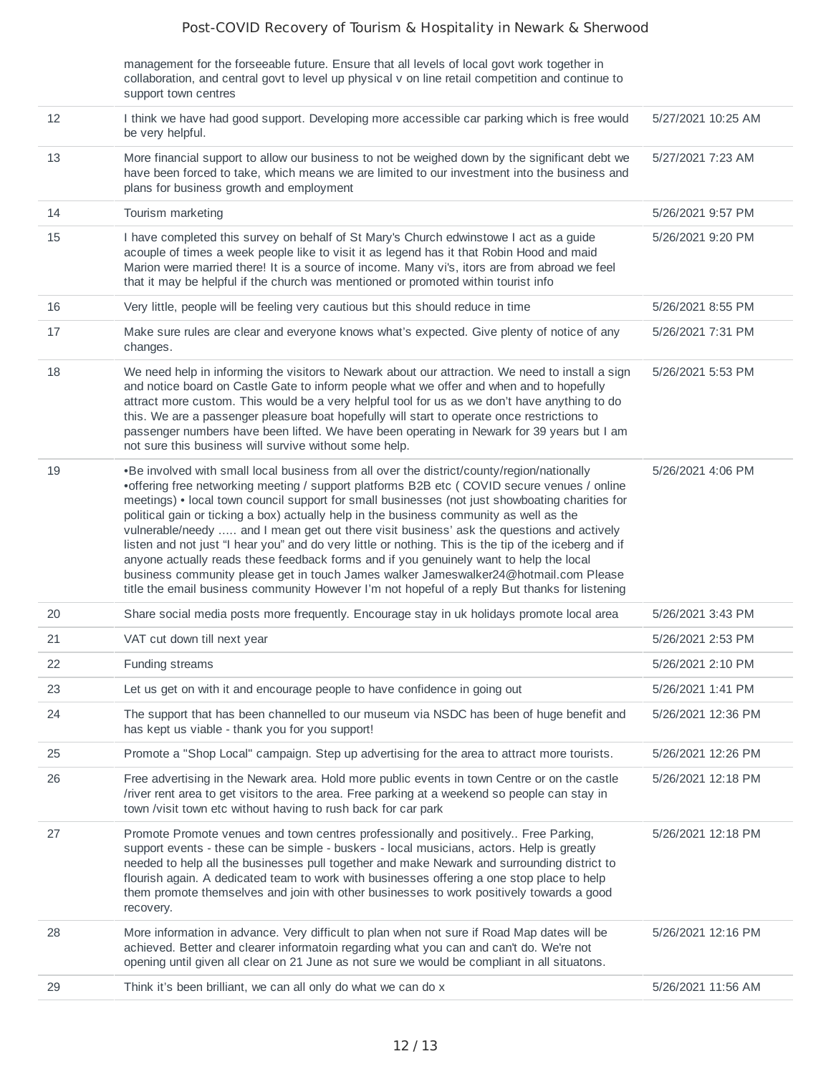#### Post-COVID Recovery of Tourism & Hospitality in Newark & Sherwood

management for the forseeable future. Ensure that all levels of local govt work together in collaboration, and central govt to level up physical v on line retail competition and continue to support town centres

| 12 | I think we have had good support. Developing more accessible car parking which is free would<br>be very helpful.                                                                                                                                                                                                                                                                                                                                                                                                                                                                                                                                                                                                                                                                                                                                                                   | 5/27/2021 10:25 AM |
|----|------------------------------------------------------------------------------------------------------------------------------------------------------------------------------------------------------------------------------------------------------------------------------------------------------------------------------------------------------------------------------------------------------------------------------------------------------------------------------------------------------------------------------------------------------------------------------------------------------------------------------------------------------------------------------------------------------------------------------------------------------------------------------------------------------------------------------------------------------------------------------------|--------------------|
| 13 | More financial support to allow our business to not be weighed down by the significant debt we<br>have been forced to take, which means we are limited to our investment into the business and<br>plans for business growth and employment                                                                                                                                                                                                                                                                                                                                                                                                                                                                                                                                                                                                                                         | 5/27/2021 7:23 AM  |
| 14 | Tourism marketing                                                                                                                                                                                                                                                                                                                                                                                                                                                                                                                                                                                                                                                                                                                                                                                                                                                                  | 5/26/2021 9:57 PM  |
| 15 | I have completed this survey on behalf of St Mary's Church edwinstowe I act as a guide<br>acouple of times a week people like to visit it as legend has it that Robin Hood and maid<br>Marion were married there! It is a source of income. Many vi's, itors are from abroad we feel<br>that it may be helpful if the church was mentioned or promoted within tourist info                                                                                                                                                                                                                                                                                                                                                                                                                                                                                                         | 5/26/2021 9:20 PM  |
| 16 | Very little, people will be feeling very cautious but this should reduce in time                                                                                                                                                                                                                                                                                                                                                                                                                                                                                                                                                                                                                                                                                                                                                                                                   | 5/26/2021 8:55 PM  |
| 17 | Make sure rules are clear and everyone knows what's expected. Give plenty of notice of any<br>changes.                                                                                                                                                                                                                                                                                                                                                                                                                                                                                                                                                                                                                                                                                                                                                                             | 5/26/2021 7:31 PM  |
| 18 | We need help in informing the visitors to Newark about our attraction. We need to install a sign<br>and notice board on Castle Gate to inform people what we offer and when and to hopefully<br>attract more custom. This would be a very helpful tool for us as we don't have anything to do<br>this. We are a passenger pleasure boat hopefully will start to operate once restrictions to<br>passenger numbers have been lifted. We have been operating in Newark for 39 years but I am<br>not sure this business will survive without some help.                                                                                                                                                                                                                                                                                                                               | 5/26/2021 5:53 PM  |
| 19 | •Be involved with small local business from all over the district/county/region/nationally<br>•offering free networking meeting / support platforms B2B etc ( COVID secure venues / online<br>meetings) • local town council support for small businesses (not just showboating charities for<br>political gain or ticking a box) actually help in the business community as well as the<br>vulnerable/needy  and I mean get out there visit business' ask the questions and actively<br>listen and not just "I hear you" and do very little or nothing. This is the tip of the iceberg and if<br>anyone actually reads these feedback forms and if you genuinely want to help the local<br>business community please get in touch James walker Jameswalker24@hotmail.com Please<br>title the email business community However I'm not hopeful of a reply But thanks for listening | 5/26/2021 4:06 PM  |
| 20 | Share social media posts more frequently. Encourage stay in uk holidays promote local area                                                                                                                                                                                                                                                                                                                                                                                                                                                                                                                                                                                                                                                                                                                                                                                         | 5/26/2021 3:43 PM  |
| 21 | VAT cut down till next year                                                                                                                                                                                                                                                                                                                                                                                                                                                                                                                                                                                                                                                                                                                                                                                                                                                        | 5/26/2021 2:53 PM  |
| 22 | Funding streams                                                                                                                                                                                                                                                                                                                                                                                                                                                                                                                                                                                                                                                                                                                                                                                                                                                                    | 5/26/2021 2:10 PM  |
| 23 | Let us get on with it and encourage people to have confidence in going out                                                                                                                                                                                                                                                                                                                                                                                                                                                                                                                                                                                                                                                                                                                                                                                                         | 5/26/2021 1:41 PM  |
| 24 | The support that has been channelled to our museum via NSDC has been of huge benefit and<br>has kept us viable - thank you for you support!                                                                                                                                                                                                                                                                                                                                                                                                                                                                                                                                                                                                                                                                                                                                        | 5/26/2021 12:36 PM |
| 25 | Promote a "Shop Local" campaign. Step up advertising for the area to attract more tourists.                                                                                                                                                                                                                                                                                                                                                                                                                                                                                                                                                                                                                                                                                                                                                                                        | 5/26/2021 12:26 PM |
| 26 | Free advertising in the Newark area. Hold more public events in town Centre or on the castle<br>/river rent area to get visitors to the area. Free parking at a weekend so people can stay in<br>town /visit town etc without having to rush back for car park                                                                                                                                                                                                                                                                                                                                                                                                                                                                                                                                                                                                                     | 5/26/2021 12:18 PM |
| 27 | Promote Promote venues and town centres professionally and positively. Free Parking,<br>support events - these can be simple - buskers - local musicians, actors. Help is greatly<br>needed to help all the businesses pull together and make Newark and surrounding district to<br>flourish again. A dedicated team to work with businesses offering a one stop place to help<br>them promote themselves and join with other businesses to work positively towards a good<br>recovery.                                                                                                                                                                                                                                                                                                                                                                                            | 5/26/2021 12:18 PM |
| 28 | More information in advance. Very difficult to plan when not sure if Road Map dates will be<br>achieved. Better and clearer informatoin regarding what you can and can't do. We're not<br>opening until given all clear on 21 June as not sure we would be compliant in all situatons.                                                                                                                                                                                                                                                                                                                                                                                                                                                                                                                                                                                             | 5/26/2021 12:16 PM |
| 29 | Think it's been brilliant, we can all only do what we can do x                                                                                                                                                                                                                                                                                                                                                                                                                                                                                                                                                                                                                                                                                                                                                                                                                     | 5/26/2021 11:56 AM |
|    |                                                                                                                                                                                                                                                                                                                                                                                                                                                                                                                                                                                                                                                                                                                                                                                                                                                                                    |                    |